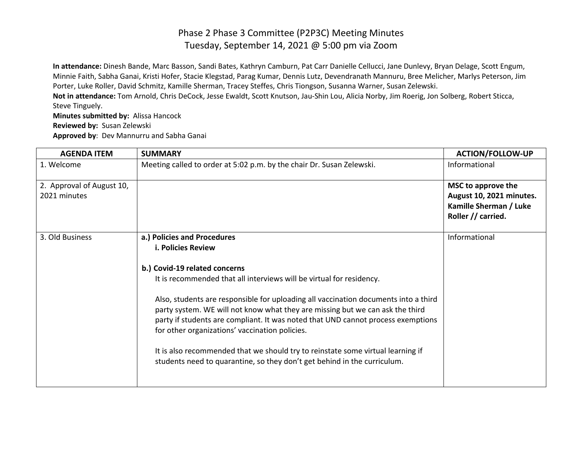**In attendance:** Dinesh Bande, Marc Basson, Sandi Bates, Kathryn Camburn, Pat Carr Danielle Cellucci, Jane Dunlevy, Bryan Delage, Scott Engum, Minnie Faith, Sabha Ganai, Kristi Hofer, Stacie Klegstad, Parag Kumar, Dennis Lutz, Devendranath Mannuru, Bree Melicher, Marlys Peterson, Jim Porter, Luke Roller, David Schmitz, Kamille Sherman, Tracey Steffes, Chris Tiongson, Susanna Warner, Susan Zelewski. **Not in attendance:** Tom Arnold, Chris DeCock, Jesse Ewaldt, Scott Knutson, Jau-Shin Lou, Alicia Norby, Jim Roerig, Jon Solberg, Robert Sticca, Steve Tinguely. **Minutes submitted by:** Alissa Hancock

**Reviewed by:** Susan Zelewski

**Approved by**: Dev Mannurru and Sabha Ganai

| <b>AGENDA ITEM</b>                        | <b>SUMMARY</b>                                                                                                                                                                                                                                                                                                                                                                                                                                                                                                                                                                                                                                 | <b>ACTION/FOLLOW-UP</b>                                                                        |
|-------------------------------------------|------------------------------------------------------------------------------------------------------------------------------------------------------------------------------------------------------------------------------------------------------------------------------------------------------------------------------------------------------------------------------------------------------------------------------------------------------------------------------------------------------------------------------------------------------------------------------------------------------------------------------------------------|------------------------------------------------------------------------------------------------|
| 1. Welcome                                | Meeting called to order at 5:02 p.m. by the chair Dr. Susan Zelewski.                                                                                                                                                                                                                                                                                                                                                                                                                                                                                                                                                                          | Informational                                                                                  |
| 2. Approval of August 10,<br>2021 minutes |                                                                                                                                                                                                                                                                                                                                                                                                                                                                                                                                                                                                                                                | MSC to approve the<br>August 10, 2021 minutes.<br>Kamille Sherman / Luke<br>Roller // carried. |
| 3. Old Business                           | a.) Policies and Procedures<br><b>i. Policies Review</b><br>b.) Covid-19 related concerns<br>It is recommended that all interviews will be virtual for residency.<br>Also, students are responsible for uploading all vaccination documents into a third<br>party system. WE will not know what they are missing but we can ask the third<br>party if students are compliant. It was noted that UND cannot process exemptions<br>for other organizations' vaccination policies.<br>It is also recommended that we should try to reinstate some virtual learning if<br>students need to quarantine, so they don't get behind in the curriculum. | Informational                                                                                  |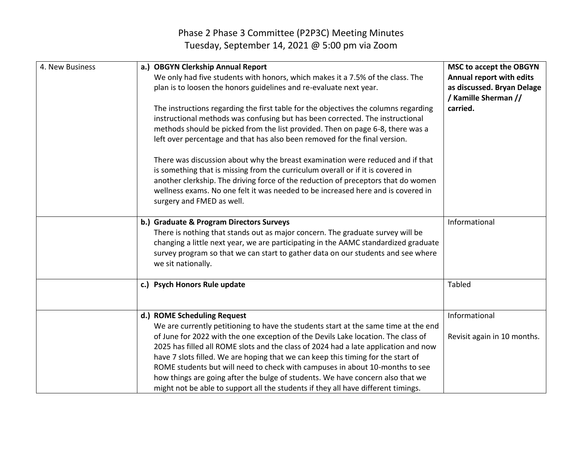| 4. New Business | a.) OBGYN Clerkship Annual Report                                                   | MSC to accept the OBGYN     |
|-----------------|-------------------------------------------------------------------------------------|-----------------------------|
|                 | We only had five students with honors, which makes it a 7.5% of the class. The      | Annual report with edits    |
|                 | plan is to loosen the honors guidelines and re-evaluate next year.                  | as discussed. Bryan Delage  |
|                 |                                                                                     | / Kamille Sherman //        |
|                 | The instructions regarding the first table for the objectives the columns regarding | carried.                    |
|                 | instructional methods was confusing but has been corrected. The instructional       |                             |
|                 | methods should be picked from the list provided. Then on page 6-8, there was a      |                             |
|                 | left over percentage and that has also been removed for the final version.          |                             |
|                 |                                                                                     |                             |
|                 | There was discussion about why the breast examination were reduced and if that      |                             |
|                 | is something that is missing from the curriculum overall or if it is covered in     |                             |
|                 | another clerkship. The driving force of the reduction of preceptors that do women   |                             |
|                 | wellness exams. No one felt it was needed to be increased here and is covered in    |                             |
|                 | surgery and FMED as well.                                                           |                             |
|                 |                                                                                     |                             |
|                 | b.) Graduate & Program Directors Surveys                                            | Informational               |
|                 | There is nothing that stands out as major concern. The graduate survey will be      |                             |
|                 | changing a little next year, we are participating in the AAMC standardized graduate |                             |
|                 | survey program so that we can start to gather data on our students and see where    |                             |
|                 | we sit nationally.                                                                  |                             |
|                 |                                                                                     |                             |
|                 | c.) Psych Honors Rule update                                                        | <b>Tabled</b>               |
|                 |                                                                                     |                             |
|                 |                                                                                     |                             |
|                 | d.) ROME Scheduling Request                                                         | Informational               |
|                 | We are currently petitioning to have the students start at the same time at the end |                             |
|                 | of June for 2022 with the one exception of the Devils Lake location. The class of   | Revisit again in 10 months. |
|                 | 2025 has filled all ROME slots and the class of 2024 had a late application and now |                             |
|                 | have 7 slots filled. We are hoping that we can keep this timing for the start of    |                             |
|                 | ROME students but will need to check with campuses in about 10-months to see        |                             |
|                 | how things are going after the bulge of students. We have concern also that we      |                             |
|                 | might not be able to support all the students if they all have different timings.   |                             |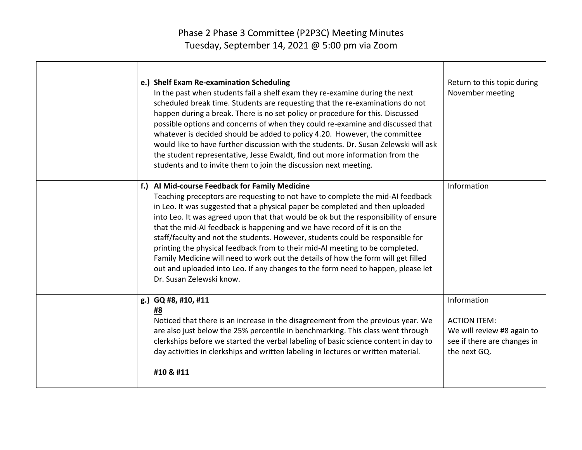| e.) Shelf Exam Re-examination Scheduling<br>In the past when students fail a shelf exam they re-examine during the next<br>scheduled break time. Students are requesting that the re-examinations do not<br>happen during a break. There is no set policy or procedure for this. Discussed<br>possible options and concerns of when they could re-examine and discussed that<br>whatever is decided should be added to policy 4.20. However, the committee<br>would like to have further discussion with the students. Dr. Susan Zelewski will ask<br>the student representative, Jesse Ewaldt, find out more information from the<br>students and to invite them to join the discussion next meeting.                                                      | Return to this topic during<br>November meeting                                                                 |
|-------------------------------------------------------------------------------------------------------------------------------------------------------------------------------------------------------------------------------------------------------------------------------------------------------------------------------------------------------------------------------------------------------------------------------------------------------------------------------------------------------------------------------------------------------------------------------------------------------------------------------------------------------------------------------------------------------------------------------------------------------------|-----------------------------------------------------------------------------------------------------------------|
| f.) Al Mid-course Feedback for Family Medicine<br>Teaching preceptors are requesting to not have to complete the mid-AI feedback<br>in Leo. It was suggested that a physical paper be completed and then uploaded<br>into Leo. It was agreed upon that that would be ok but the responsibility of ensure<br>that the mid-AI feedback is happening and we have record of it is on the<br>staff/faculty and not the students. However, students could be responsible for<br>printing the physical feedback from to their mid-AI meeting to be completed.<br>Family Medicine will need to work out the details of how the form will get filled<br>out and uploaded into Leo. If any changes to the form need to happen, please let<br>Dr. Susan Zelewski know. | Information                                                                                                     |
| g.) GQ #8, #10, #11<br>#8<br>Noticed that there is an increase in the disagreement from the previous year. We<br>are also just below the 25% percentile in benchmarking. This class went through<br>clerkships before we started the verbal labeling of basic science content in day to<br>day activities in clerkships and written labeling in lectures or written material.<br>#10 & #11                                                                                                                                                                                                                                                                                                                                                                  | Information<br><b>ACTION ITEM:</b><br>We will review #8 again to<br>see if there are changes in<br>the next GQ. |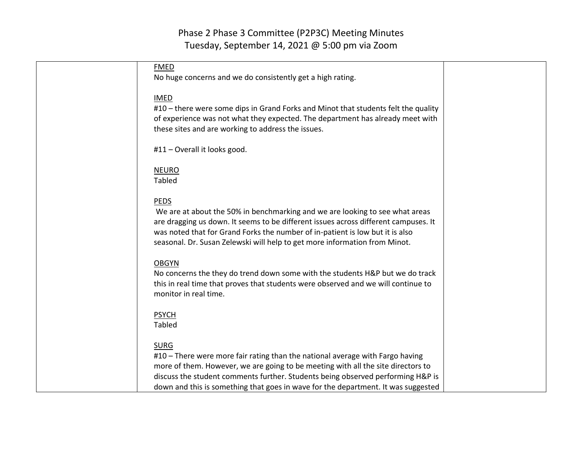| <b>FMED</b>                                                                      |                                                                                                                                                                                                                                                                                                                                                                                                                                                                                                                                                                                                                                                                                                                                                                                                                            |
|----------------------------------------------------------------------------------|----------------------------------------------------------------------------------------------------------------------------------------------------------------------------------------------------------------------------------------------------------------------------------------------------------------------------------------------------------------------------------------------------------------------------------------------------------------------------------------------------------------------------------------------------------------------------------------------------------------------------------------------------------------------------------------------------------------------------------------------------------------------------------------------------------------------------|
| No huge concerns and we do consistently get a high rating.                       |                                                                                                                                                                                                                                                                                                                                                                                                                                                                                                                                                                                                                                                                                                                                                                                                                            |
|                                                                                  |                                                                                                                                                                                                                                                                                                                                                                                                                                                                                                                                                                                                                                                                                                                                                                                                                            |
| <b>IMED</b>                                                                      |                                                                                                                                                                                                                                                                                                                                                                                                                                                                                                                                                                                                                                                                                                                                                                                                                            |
|                                                                                  |                                                                                                                                                                                                                                                                                                                                                                                                                                                                                                                                                                                                                                                                                                                                                                                                                            |
|                                                                                  |                                                                                                                                                                                                                                                                                                                                                                                                                                                                                                                                                                                                                                                                                                                                                                                                                            |
|                                                                                  |                                                                                                                                                                                                                                                                                                                                                                                                                                                                                                                                                                                                                                                                                                                                                                                                                            |
|                                                                                  |                                                                                                                                                                                                                                                                                                                                                                                                                                                                                                                                                                                                                                                                                                                                                                                                                            |
|                                                                                  |                                                                                                                                                                                                                                                                                                                                                                                                                                                                                                                                                                                                                                                                                                                                                                                                                            |
|                                                                                  |                                                                                                                                                                                                                                                                                                                                                                                                                                                                                                                                                                                                                                                                                                                                                                                                                            |
|                                                                                  |                                                                                                                                                                                                                                                                                                                                                                                                                                                                                                                                                                                                                                                                                                                                                                                                                            |
| <b>Tabled</b>                                                                    |                                                                                                                                                                                                                                                                                                                                                                                                                                                                                                                                                                                                                                                                                                                                                                                                                            |
|                                                                                  |                                                                                                                                                                                                                                                                                                                                                                                                                                                                                                                                                                                                                                                                                                                                                                                                                            |
|                                                                                  |                                                                                                                                                                                                                                                                                                                                                                                                                                                                                                                                                                                                                                                                                                                                                                                                                            |
| We are at about the 50% in benchmarking and we are looking to see what areas     |                                                                                                                                                                                                                                                                                                                                                                                                                                                                                                                                                                                                                                                                                                                                                                                                                            |
|                                                                                  |                                                                                                                                                                                                                                                                                                                                                                                                                                                                                                                                                                                                                                                                                                                                                                                                                            |
|                                                                                  |                                                                                                                                                                                                                                                                                                                                                                                                                                                                                                                                                                                                                                                                                                                                                                                                                            |
|                                                                                  |                                                                                                                                                                                                                                                                                                                                                                                                                                                                                                                                                                                                                                                                                                                                                                                                                            |
|                                                                                  |                                                                                                                                                                                                                                                                                                                                                                                                                                                                                                                                                                                                                                                                                                                                                                                                                            |
|                                                                                  |                                                                                                                                                                                                                                                                                                                                                                                                                                                                                                                                                                                                                                                                                                                                                                                                                            |
|                                                                                  |                                                                                                                                                                                                                                                                                                                                                                                                                                                                                                                                                                                                                                                                                                                                                                                                                            |
|                                                                                  |                                                                                                                                                                                                                                                                                                                                                                                                                                                                                                                                                                                                                                                                                                                                                                                                                            |
| monitor in real time.                                                            |                                                                                                                                                                                                                                                                                                                                                                                                                                                                                                                                                                                                                                                                                                                                                                                                                            |
|                                                                                  |                                                                                                                                                                                                                                                                                                                                                                                                                                                                                                                                                                                                                                                                                                                                                                                                                            |
| <b>PSYCH</b>                                                                     |                                                                                                                                                                                                                                                                                                                                                                                                                                                                                                                                                                                                                                                                                                                                                                                                                            |
| <b>Tabled</b>                                                                    |                                                                                                                                                                                                                                                                                                                                                                                                                                                                                                                                                                                                                                                                                                                                                                                                                            |
|                                                                                  |                                                                                                                                                                                                                                                                                                                                                                                                                                                                                                                                                                                                                                                                                                                                                                                                                            |
| <b>SURG</b>                                                                      |                                                                                                                                                                                                                                                                                                                                                                                                                                                                                                                                                                                                                                                                                                                                                                                                                            |
| #10 - There were more fair rating than the national average with Fargo having    |                                                                                                                                                                                                                                                                                                                                                                                                                                                                                                                                                                                                                                                                                                                                                                                                                            |
| more of them. However, we are going to be meeting with all the site directors to |                                                                                                                                                                                                                                                                                                                                                                                                                                                                                                                                                                                                                                                                                                                                                                                                                            |
| discuss the student comments further. Students being observed performing H&P is  |                                                                                                                                                                                                                                                                                                                                                                                                                                                                                                                                                                                                                                                                                                                                                                                                                            |
|                                                                                  |                                                                                                                                                                                                                                                                                                                                                                                                                                                                                                                                                                                                                                                                                                                                                                                                                            |
|                                                                                  | #10 - there were some dips in Grand Forks and Minot that students felt the quality<br>of experience was not what they expected. The department has already meet with<br>these sites and are working to address the issues.<br>#11 - Overall it looks good.<br><b>NEURO</b><br><b>PEDS</b><br>are dragging us down. It seems to be different issues across different campuses. It<br>was noted that for Grand Forks the number of in-patient is low but it is also<br>seasonal. Dr. Susan Zelewski will help to get more information from Minot.<br><b>OBGYN</b><br>No concerns the they do trend down some with the students H&P but we do track<br>this in real time that proves that students were observed and we will continue to<br>down and this is something that goes in wave for the department. It was suggested |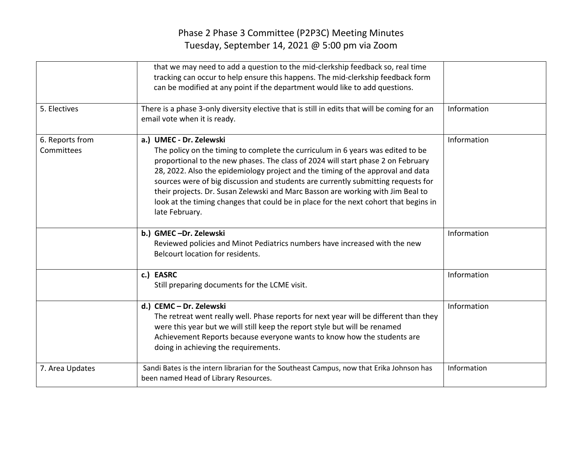|                               | that we may need to add a question to the mid-clerkship feedback so, real time<br>tracking can occur to help ensure this happens. The mid-clerkship feedback form<br>can be modified at any point if the department would like to add questions.                                                                                                                                                                                                                                                                                                                    |             |
|-------------------------------|---------------------------------------------------------------------------------------------------------------------------------------------------------------------------------------------------------------------------------------------------------------------------------------------------------------------------------------------------------------------------------------------------------------------------------------------------------------------------------------------------------------------------------------------------------------------|-------------|
| 5. Electives                  | There is a phase 3-only diversity elective that is still in edits that will be coming for an<br>email vote when it is ready.                                                                                                                                                                                                                                                                                                                                                                                                                                        | Information |
| 6. Reports from<br>Committees | a.) UMEC - Dr. Zelewski<br>The policy on the timing to complete the curriculum in 6 years was edited to be<br>proportional to the new phases. The class of 2024 will start phase 2 on February<br>28, 2022. Also the epidemiology project and the timing of the approval and data<br>sources were of big discussion and students are currently submitting requests for<br>their projects. Dr. Susan Zelewski and Marc Basson are working with Jim Beal to<br>look at the timing changes that could be in place for the next cohort that begins in<br>late February. | Information |
|                               | b.) GMEC-Dr. Zelewski<br>Reviewed policies and Minot Pediatrics numbers have increased with the new<br>Belcourt location for residents.                                                                                                                                                                                                                                                                                                                                                                                                                             | Information |
|                               | c.) EASRC<br>Still preparing documents for the LCME visit.                                                                                                                                                                                                                                                                                                                                                                                                                                                                                                          | Information |
|                               | d.) CEMC - Dr. Zelewski<br>The retreat went really well. Phase reports for next year will be different than they<br>were this year but we will still keep the report style but will be renamed<br>Achievement Reports because everyone wants to know how the students are<br>doing in achieving the requirements.                                                                                                                                                                                                                                                   | Information |
| 7. Area Updates               | Sandi Bates is the intern librarian for the Southeast Campus, now that Erika Johnson has<br>been named Head of Library Resources.                                                                                                                                                                                                                                                                                                                                                                                                                                   | Information |